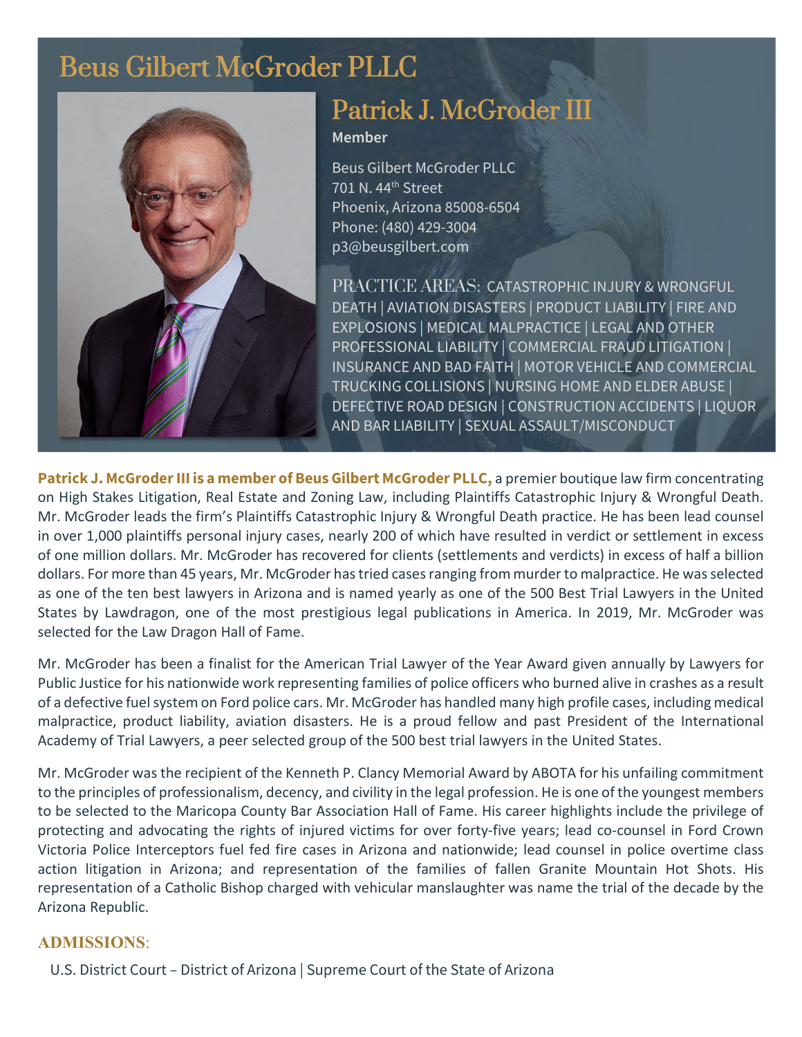# Beus Gilbert McGroder PLLC



# Patrick J. McGroder III

**Member**

Beus Gilbert McGroder PLLC 701 N. 44th Street Phoenix, Arizona 85008-6504 Phone: (480) 429-3004 p3@beusgilbert.com

PRACTICE AREAS: CATASTROPHIC INJURY & WRONGFUL DEATH | AVIATION DISASTERS | PRODUCT LIABILITY | FIRE AND EXPLOSIONS | MEDICAL MALPRACTICE | LEGAL AND OTHER PROFESSIONAL LIABILITY | COMMERCIAL FRAUD LITIGATION | INSURANCE AND BAD FAITH | MOTOR VEHICLE AND COMMERCIAL TRUCKING COLLISIONS | NURSING HOME AND ELDER ABUSE | DEFECTIVE ROAD DESIGN | CONSTRUCTION ACCIDENTS | LIQUOR AND BAR LIABILITY | SEXUAL ASSAULT/MISCONDUCT

**Patrick J. McGroder III is a member of Beus Gilbert McGroder PLLC,** a premier boutique law firm concentrating on High Stakes Litigation, Real Estate and Zoning Law, including Plaintiffs Catastrophic Injury & Wrongful Death. Mr. McGroder leads the firm's Plaintiffs Catastrophic Injury & Wrongful Death practice. He has been lead counsel in over 1,000 plaintiffs personal injury cases, nearly 200 of which have resulted in verdict or settlement in excess of one million dollars. Mr. McGroder has recovered for clients (settlements and verdicts) in excess of half a billion dollars. For more than 45 years, Mr. McGroder has tried cases ranging from murder to malpractice. He was selected as one of the ten best lawyers in Arizona and is named yearly as one of the 500 Best Trial Lawyers in the United States by Lawdragon, one of the most prestigious legal publications in America. In 2019, Mr. McGroder was selected for the Law Dragon Hall of Fame.

Mr. McGroder has been a finalist for the American Trial Lawyer of the Year Award given annually by Lawyers for Public Justice for his nationwide work representing families of police officers who burned alive in crashes as a result of a defective fuel system on Ford police cars. Mr. McGroder has handled many high profile cases, including medical malpractice, product liability, aviation disasters. He is a proud fellow and past President of the International Academy of Trial Lawyers, a peer selected group of the 500 best trial lawyers in the United States.

Mr. McGroder was the recipient of the Kenneth P. Clancy Memorial Award by ABOTA for his unfailing commitment to the principles of professionalism, decency, and civility in the legal profession. He is one of the youngest members to be selected to the Maricopa County Bar Association Hall of Fame. His career highlights include the privilege of protecting and advocating the rights of injured victims for over forty-five years; lead co-counsel in Ford Crown Victoria Police Interceptors fuel fed fire cases in Arizona and nationwide; lead counsel in police overtime class action litigation in Arizona; and representation of the families of fallen Granite Mountain Hot Shots. His representation of a Catholic Bishop charged with vehicular manslaughter was name the trial of the decade by the Arizona Republic.

### **ADMISSIONS**:

U.S. District Court – District of Arizona | Supreme Court of the State of Arizona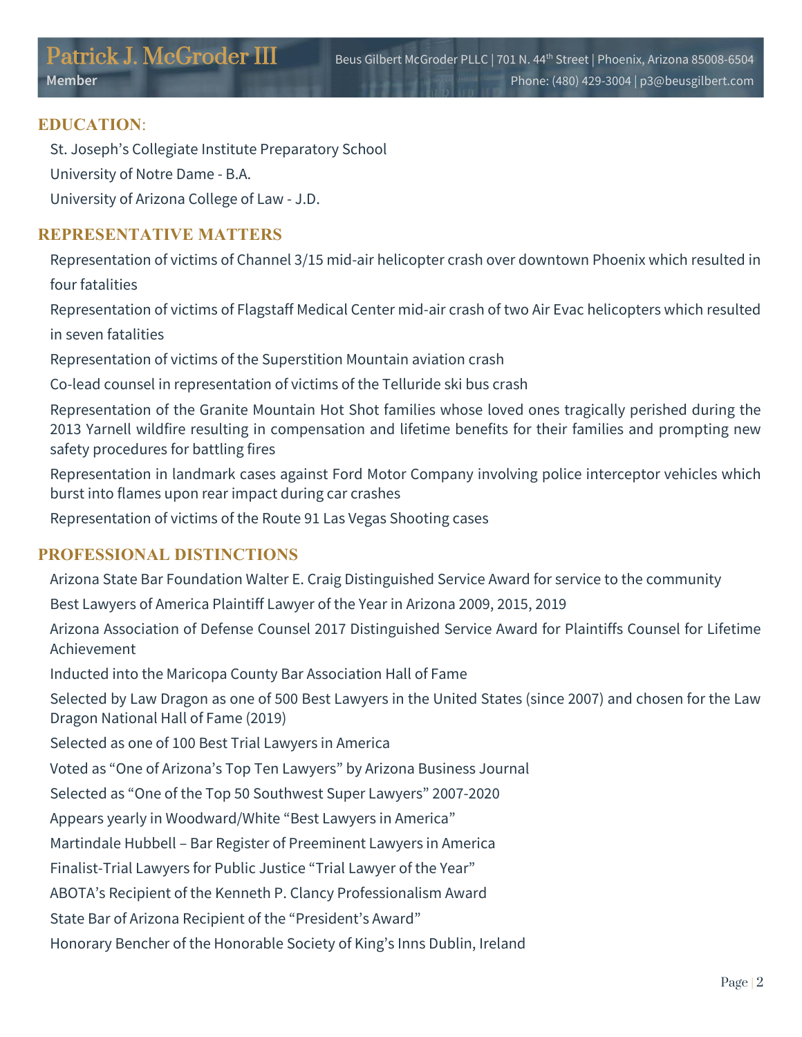#### **EDUCATION**:

St. Joseph's Collegiate Institute Preparatory School

University of Notre Dame - B.A.

University of Arizona College of Law - J.D.

## **REPRESENTATIVE MATTERS**

Representation of victims of Channel 3/15 mid-air helicopter crash over downtown Phoenix which resulted in four fatalities

Representation of victims of Flagstaff Medical Center mid-air crash of two Air Evac helicopters which resulted in seven fatalities

Representation of victims of the Superstition Mountain aviation crash

Co-lead counsel in representation of victims of the Telluride ski bus crash

Representation of the Granite Mountain Hot Shot families whose loved ones tragically perished during the 2013 Yarnell wildfire resulting in compensation and lifetime benefits for their families and prompting new safety procedures for battling fires

Representation in landmark cases against Ford Motor Company involving police interceptor vehicles which burst into flames upon rear impact during car crashes

Representation of victims of the Route 91 Las Vegas Shooting cases

# **PROFESSIONAL DISTINCTIONS**

Arizona State Bar Foundation Walter E. Craig Distinguished Service Award for service to the community

Best Lawyers of America Plaintiff Lawyer of the Year in Arizona 2009, 2015, 2019

Arizona Association of Defense Counsel 2017 Distinguished Service Award for Plaintiffs Counsel for Lifetime Achievement

Inducted into the Maricopa County Bar Association Hall of Fame

Selected by Law Dragon as one of 500 Best Lawyers in the United States (since 2007) and chosen for the Law Dragon National Hall of Fame (2019)

Selected as one of 100 Best Trial Lawyers in America

Voted as "One of Arizona's Top Ten Lawyers" by Arizona Business Journal

Selected as "One of the Top 50 Southwest Super Lawyers" 2007-2020

Appears yearly in Woodward/White "Best Lawyers in America"

Martindale Hubbell – Bar Register of Preeminent Lawyers in America

Finalist-Trial Lawyers for Public Justice "Trial Lawyer of the Year"

ABOTA's Recipient of the Kenneth P. Clancy Professionalism Award

State Bar of Arizona Recipient of the "President's Award"

Honorary Bencher of the Honorable Society of King's Inns Dublin, Ireland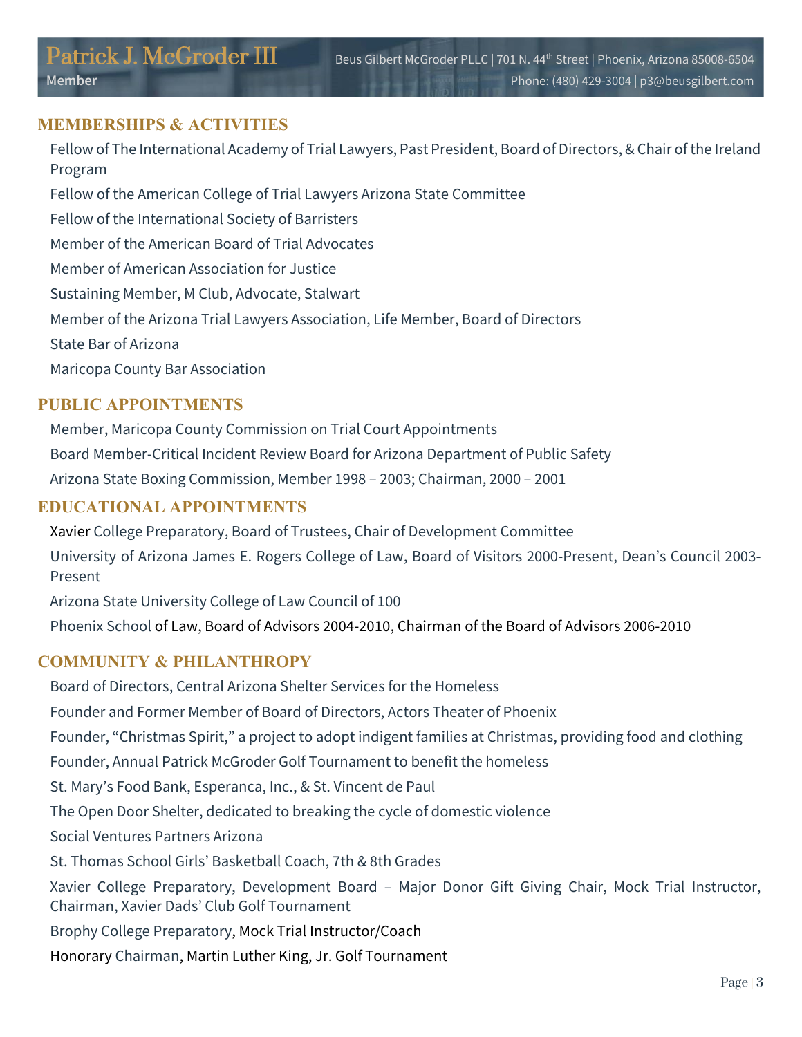# **MEMBERSHIPS & ACTIVITIES**

Fellow of The International Academy of Trial Lawyers, Past President, Board of Directors, & Chair of the Ireland Program Fellow of the American College of Trial Lawyers Arizona State Committee Fellow of the International Society of Barristers Member of the American Board of Trial Advocates Member of American Association for Justice Sustaining Member, M Club, Advocate, Stalwart Member of the Arizona Trial Lawyers Association, Life Member, Board of Directors State Bar of Arizona Maricopa County Bar Association

### **PUBLIC APPOINTMENTS**

Member, Maricopa County Commission on Trial Court Appointments Board Member-Critical Incident Review Board for Arizona Department of Public Safety Arizona State Boxing Commission, Member 1998 – 2003; Chairman, 2000 – 2001

## **EDUCATIONAL APPOINTMENTS**

Xavier College Preparatory, Board of Trustees, Chair of Development Committee University of Arizona James E. Rogers College of Law, Board of Visitors 2000-Present, Dean's Council 2003- Present

Arizona State University College of Law Council of 100 Phoenix School of Law, Board of Advisors 2004-2010, Chairman of the Board of Advisors 2006-2010

### **COMMUNITY & PHILANTHROPY**

Board of Directors, Central Arizona Shelter Services for the Homeless Founder and Former Member of Board of Directors, Actors Theater of Phoenix Founder, "Christmas Spirit," a project to adopt indigent families at Christmas, providing food and clothing Founder, Annual Patrick McGroder Golf Tournament to benefit the homeless St. Mary's Food Bank, Esperanca, Inc., & St. Vincent de Paul The Open Door Shelter, dedicated to breaking the cycle of domestic violence Social Ventures Partners Arizona St. Thomas School Girls' Basketball Coach, 7th & 8th Grades Xavier College Preparatory, Development Board – Major Donor Gift Giving Chair, Mock Trial Instructor, Chairman, Xavier Dads' Club Golf Tournament Brophy College Preparatory, Mock Trial Instructor/Coach Honorary Chairman, Martin Luther King, Jr. Golf Tournament